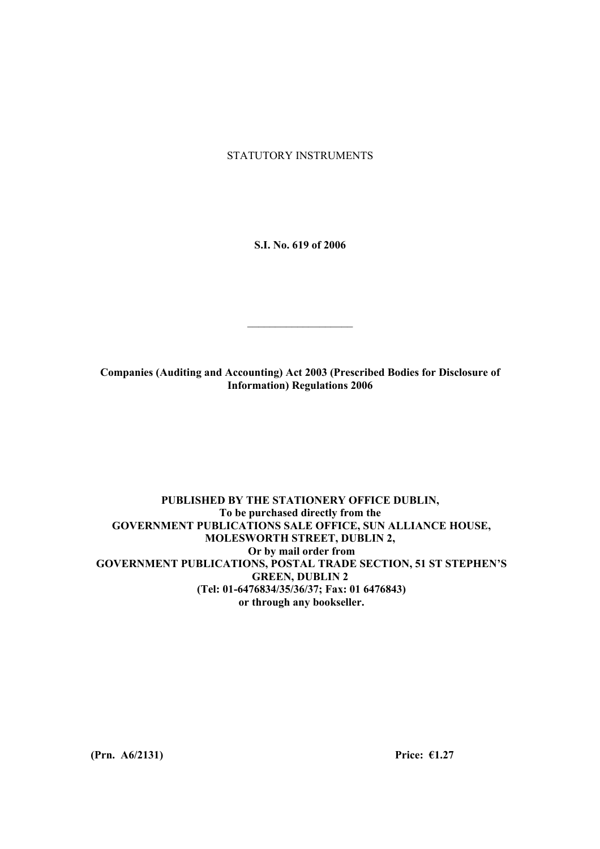STATUTORY INSTRUMENTS

**S.I. No. 619 of 2006** 

**Companies (Auditing and Accounting) Act 2003 (Prescribed Bodies for Disclosure of Information) Regulations 2006** 

 $\mathcal{L}_\text{max}$ 

### **PUBLISHED BY THE STATIONERY OFFICE DUBLIN, To be purchased directly from the GOVERNMENT PUBLICATIONS SALE OFFICE, SUN ALLIANCE HOUSE, MOLESWORTH STREET, DUBLIN 2, Or by mail order from GOVERNMENT PUBLICATIONS, POSTAL TRADE SECTION, 51 ST STEPHEN'S GREEN, DUBLIN 2 (Tel: 01-6476834/35/36/37; Fax: 01 6476843) or through any bookseller.**

**(Prn. A6/2131) Price: €1.27**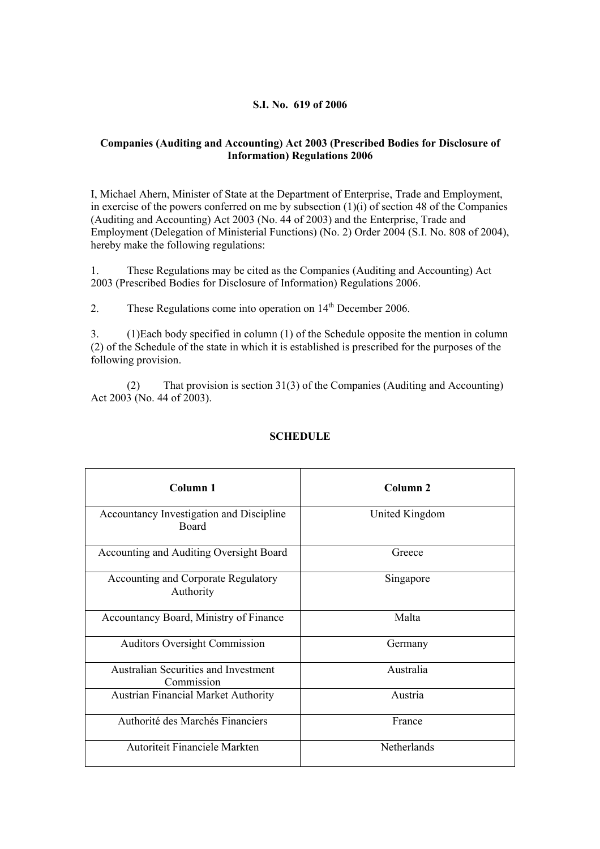### **S.I. No. 619 of 2006**

## **Companies (Auditing and Accounting) Act 2003 (Prescribed Bodies for Disclosure of Information) Regulations 2006**

I, Michael Ahern, Minister of State at the Department of Enterprise, Trade and Employment, in exercise of the powers conferred on me by subsection  $(1)(i)$  of section 48 of the Companies (Auditing and Accounting) Act 2003 (No. 44 of 2003) and the Enterprise, Trade and Employment (Delegation of Ministerial Functions) (No. 2) Order 2004 (S.I. No. 808 of 2004), hereby make the following regulations:

1. These Regulations may be cited as the Companies (Auditing and Accounting) Act 2003 (Prescribed Bodies for Disclosure of Information) Regulations 2006.

2. These Regulations come into operation on 14<sup>th</sup> December 2006.

3. (1)Each body specified in column (1) of the Schedule opposite the mention in column (2) of the Schedule of the state in which it is established is prescribed for the purposes of the following provision.

(2) That provision is section 31(3) of the Companies (Auditing and Accounting) Act 2003 (No. 44 of 2003).

| Column <sub>1</sub>                                       | Column <sub>2</sub> |
|-----------------------------------------------------------|---------------------|
| Accountancy Investigation and Discipline<br><b>Board</b>  | United Kingdom      |
| Accounting and Auditing Oversight Board                   | Greece              |
| <b>Accounting and Corporate Regulatory</b><br>Authority   | Singapore           |
| Accountancy Board, Ministry of Finance                    | Malta               |
| <b>Auditors Oversight Commission</b>                      | Germany             |
| <b>Australian Securities and Investment</b><br>Commission | Australia           |
| <b>Austrian Financial Market Authority</b>                | Austria             |
| Authorité des Marchés Financiers                          | France              |
| Autoriteit Financiele Markten                             | Netherlands         |

# **SCHEDULE**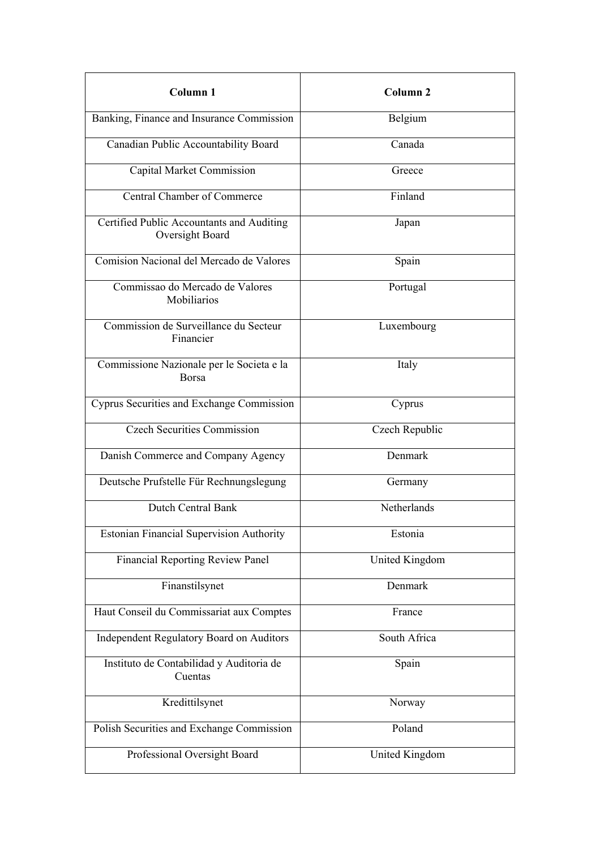| Column 1                                                     | Column <sub>2</sub>   |
|--------------------------------------------------------------|-----------------------|
| Banking, Finance and Insurance Commission                    | Belgium               |
| Canadian Public Accountability Board                         | Canada                |
| Capital Market Commission                                    | Greece                |
| Central Chamber of Commerce                                  | Finland               |
| Certified Public Accountants and Auditing<br>Oversight Board | Japan                 |
| Comision Nacional del Mercado de Valores                     | Spain                 |
| Commissao do Mercado de Valores<br><b>Mobiliarios</b>        | Portugal              |
| Commission de Surveillance du Secteur<br>Financier           | Luxembourg            |
| Commissione Nazionale per le Societa e la<br><b>Borsa</b>    | Italy                 |
| Cyprus Securities and Exchange Commission                    | Cyprus                |
| <b>Czech Securities Commission</b>                           | Czech Republic        |
| Danish Commerce and Company Agency                           | Denmark               |
| Deutsche Prufstelle Für Rechnungslegung                      | Germany               |
| <b>Dutch Central Bank</b>                                    | Netherlands           |
| <b>Estonian Financial Supervision Authority</b>              | Estonia               |
| <b>Financial Reporting Review Panel</b>                      | <b>United Kingdom</b> |
| Finanstilsynet                                               | Denmark               |
| Haut Conseil du Commissariat aux Comptes                     | France                |
| <b>Independent Regulatory Board on Auditors</b>              | South Africa          |
| Instituto de Contabilidad y Auditoria de<br>Cuentas          | Spain                 |
| Kredittilsynet                                               | Norway                |
| Polish Securities and Exchange Commission                    | Poland                |
| Professional Oversight Board                                 | <b>United Kingdom</b> |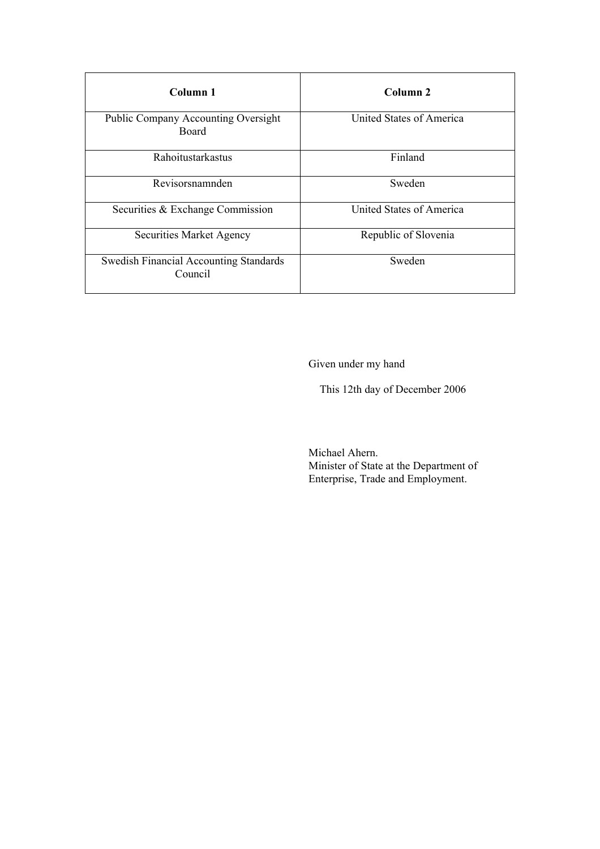| Column 1                                                   | Column <sub>2</sub>      |
|------------------------------------------------------------|--------------------------|
| <b>Public Company Accounting Oversight</b><br><b>Board</b> | United States of America |
| Rahoitustarkastus                                          | Finland                  |
| Revisorsnamnden                                            | Sweden                   |
| Securities & Exchange Commission                           | United States of America |
| Securities Market Agency                                   | Republic of Slovenia     |
| <b>Swedish Financial Accounting Standards</b><br>Council   | Sweden                   |

Given under my hand

This 12th day of December 2006

Michael Ahern. Minister of State at the Department of Enterprise, Trade and Employment.